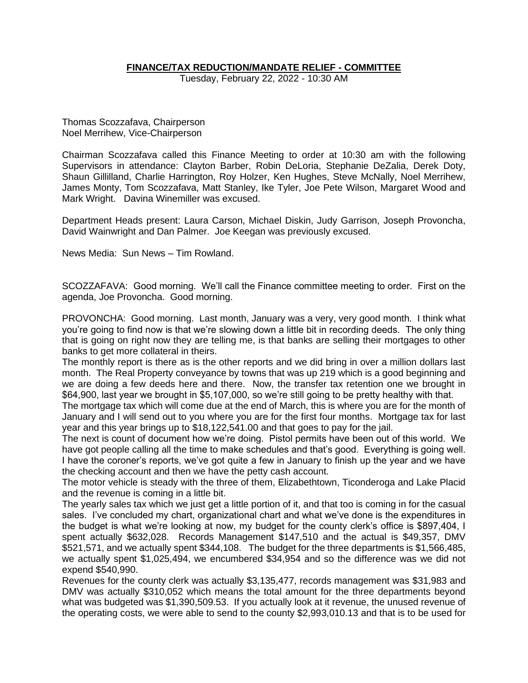# **FINANCE/TAX REDUCTION/MANDATE RELIEF - COMMITTEE**

Tuesday, February 22, 2022 - 10:30 AM

Thomas Scozzafava, Chairperson Noel Merrihew, Vice-Chairperson

Chairman Scozzafava called this Finance Meeting to order at 10:30 am with the following Supervisors in attendance: Clayton Barber, Robin DeLoria, Stephanie DeZalia, Derek Doty, Shaun Gillilland, Charlie Harrington, Roy Holzer, Ken Hughes, Steve McNally, Noel Merrihew, James Monty, Tom Scozzafava, Matt Stanley, Ike Tyler, Joe Pete Wilson, Margaret Wood and Mark Wright. Davina Winemiller was excused.

Department Heads present: Laura Carson, Michael Diskin, Judy Garrison, Joseph Provoncha, David Wainwright and Dan Palmer. Joe Keegan was previously excused.

News Media: Sun News – Tim Rowland.

SCOZZAFAVA: Good morning. We'll call the Finance committee meeting to order. First on the agenda, Joe Provoncha. Good morning.

PROVONCHA: Good morning. Last month, January was a very, very good month. I think what you're going to find now is that we're slowing down a little bit in recording deeds. The only thing that is going on right now they are telling me, is that banks are selling their mortgages to other banks to get more collateral in theirs.

The monthly report is there as is the other reports and we did bring in over a million dollars last month. The Real Property conveyance by towns that was up 219 which is a good beginning and we are doing a few deeds here and there. Now, the transfer tax retention one we brought in \$64,900, last year we brought in \$5,107,000, so we're still going to be pretty healthy with that.

The mortgage tax which will come due at the end of March, this is where you are for the month of January and I will send out to you where you are for the first four months. Mortgage tax for last year and this year brings up to \$18,122,541.00 and that goes to pay for the jail.

The next is count of document how we're doing. Pistol permits have been out of this world. We have got people calling all the time to make schedules and that's good. Everything is going well. I have the coroner's reports, we've got quite a few in January to finish up the year and we have the checking account and then we have the petty cash account.

The motor vehicle is steady with the three of them, Elizabethtown, Ticonderoga and Lake Placid and the revenue is coming in a little bit.

The yearly sales tax which we just get a little portion of it, and that too is coming in for the casual sales. I've concluded my chart, organizational chart and what we've done is the expenditures in the budget is what we're looking at now, my budget for the county clerk's office is \$897,404, I spent actually \$632,028. Records Management \$147,510 and the actual is \$49,357, DMV \$521,571, and we actually spent \$344,108. The budget for the three departments is \$1,566,485, we actually spent \$1,025,494, we encumbered \$34,954 and so the difference was we did not expend \$540,990.

Revenues for the county clerk was actually \$3,135,477, records management was \$31,983 and DMV was actually \$310,052 which means the total amount for the three departments beyond what was budgeted was \$1,390,509.53. If you actually look at it revenue, the unused revenue of the operating costs, we were able to send to the county \$2,993,010.13 and that is to be used for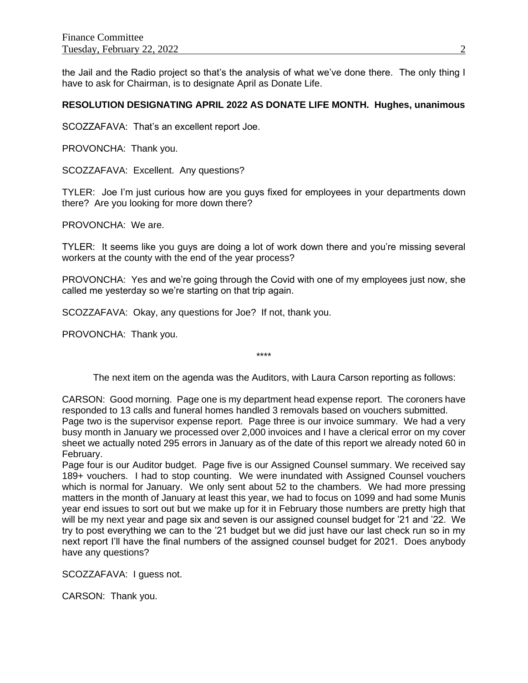the Jail and the Radio project so that's the analysis of what we've done there. The only thing I have to ask for Chairman, is to designate April as Donate Life.

#### **RESOLUTION DESIGNATING APRIL 2022 AS DONATE LIFE MONTH. Hughes, unanimous**

SCOZZAFAVA: That's an excellent report Joe.

PROVONCHA: Thank you.

SCOZZAFAVA: Excellent. Any questions?

TYLER: Joe I'm just curious how are you guys fixed for employees in your departments down there? Are you looking for more down there?

PROVONCHA: We are.

TYLER: It seems like you guys are doing a lot of work down there and you're missing several workers at the county with the end of the year process?

PROVONCHA: Yes and we're going through the Covid with one of my employees just now, she called me yesterday so we're starting on that trip again.

SCOZZAFAVA: Okay, any questions for Joe? If not, thank you.

PROVONCHA: Thank you.

\*\*\*\*

The next item on the agenda was the Auditors, with Laura Carson reporting as follows:

CARSON: Good morning. Page one is my department head expense report. The coroners have responded to 13 calls and funeral homes handled 3 removals based on vouchers submitted. Page two is the supervisor expense report. Page three is our invoice summary. We had a very busy month in January we processed over 2,000 invoices and I have a clerical error on my cover sheet we actually noted 295 errors in January as of the date of this report we already noted 60 in February.

Page four is our Auditor budget. Page five is our Assigned Counsel summary. We received say 189+ vouchers. I had to stop counting. We were inundated with Assigned Counsel vouchers which is normal for January. We only sent about 52 to the chambers. We had more pressing matters in the month of January at least this year, we had to focus on 1099 and had some Munis year end issues to sort out but we make up for it in February those numbers are pretty high that will be my next year and page six and seven is our assigned counsel budget for '21 and '22. We try to post everything we can to the '21 budget but we did just have our last check run so in my next report I'll have the final numbers of the assigned counsel budget for 2021. Does anybody have any questions?

SCOZZAFAVA: I guess not.

CARSON: Thank you.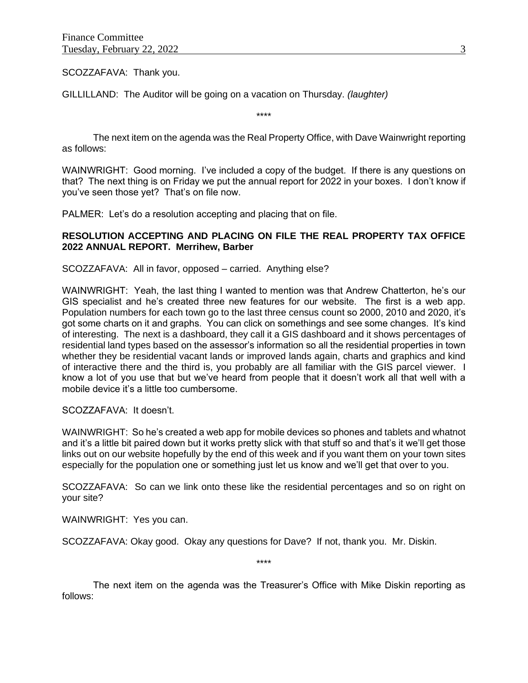SCOZZAFAVA: Thank you.

GILLILLAND: The Auditor will be going on a vacation on Thursday. *(laughter)*

\*\*\*\*

The next item on the agenda was the Real Property Office, with Dave Wainwright reporting as follows:

WAINWRIGHT: Good morning. I've included a copy of the budget. If there is any questions on that? The next thing is on Friday we put the annual report for 2022 in your boxes. I don't know if you've seen those yet? That's on file now.

PALMER: Let's do a resolution accepting and placing that on file.

# **RESOLUTION ACCEPTING AND PLACING ON FILE THE REAL PROPERTY TAX OFFICE 2022 ANNUAL REPORT. Merrihew, Barber**

SCOZZAFAVA: All in favor, opposed – carried. Anything else?

WAINWRIGHT: Yeah, the last thing I wanted to mention was that Andrew Chatterton, he's our GIS specialist and he's created three new features for our website. The first is a web app. Population numbers for each town go to the last three census count so 2000, 2010 and 2020, it's got some charts on it and graphs. You can click on somethings and see some changes. It's kind of interesting. The next is a dashboard, they call it a GIS dashboard and it shows percentages of residential land types based on the assessor's information so all the residential properties in town whether they be residential vacant lands or improved lands again, charts and graphics and kind of interactive there and the third is, you probably are all familiar with the GIS parcel viewer. I know a lot of you use that but we've heard from people that it doesn't work all that well with a mobile device it's a little too cumbersome.

#### SCOZZAFAVA: It doesn't.

WAINWRIGHT: So he's created a web app for mobile devices so phones and tablets and whatnot and it's a little bit paired down but it works pretty slick with that stuff so and that's it we'll get those links out on our website hopefully by the end of this week and if you want them on your town sites especially for the population one or something just let us know and we'll get that over to you.

SCOZZAFAVA: So can we link onto these like the residential percentages and so on right on your site?

WAINWRIGHT: Yes you can.

SCOZZAFAVA: Okay good. Okay any questions for Dave? If not, thank you. Mr. Diskin.

\*\*\*\*

The next item on the agenda was the Treasurer's Office with Mike Diskin reporting as follows: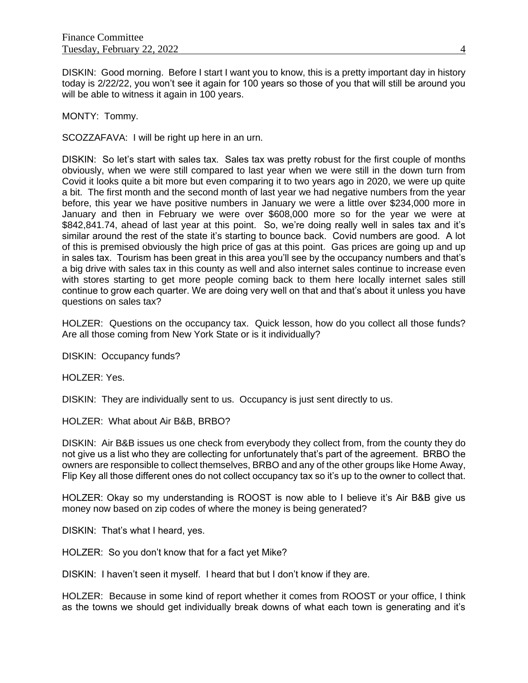DISKIN: Good morning. Before I start I want you to know, this is a pretty important day in history today is 2/22/22, you won't see it again for 100 years so those of you that will still be around you will be able to witness it again in 100 years.

MONTY: Tommy.

SCOZZAFAVA: I will be right up here in an urn.

DISKIN: So let's start with sales tax. Sales tax was pretty robust for the first couple of months obviously, when we were still compared to last year when we were still in the down turn from Covid it looks quite a bit more but even comparing it to two years ago in 2020, we were up quite a bit. The first month and the second month of last year we had negative numbers from the year before, this year we have positive numbers in January we were a little over \$234,000 more in January and then in February we were over \$608,000 more so for the year we were at \$842,841.74, ahead of last year at this point. So, we're doing really well in sales tax and it's similar around the rest of the state it's starting to bounce back. Covid numbers are good. A lot of this is premised obviously the high price of gas at this point. Gas prices are going up and up in sales tax. Tourism has been great in this area you'll see by the occupancy numbers and that's a big drive with sales tax in this county as well and also internet sales continue to increase even with stores starting to get more people coming back to them here locally internet sales still continue to grow each quarter. We are doing very well on that and that's about it unless you have questions on sales tax?

HOLZER: Questions on the occupancy tax. Quick lesson, how do you collect all those funds? Are all those coming from New York State or is it individually?

DISKIN: Occupancy funds?

HOLZER: Yes.

DISKIN: They are individually sent to us. Occupancy is just sent directly to us.

HOLZER: What about Air B&B, BRBO?

DISKIN: Air B&B issues us one check from everybody they collect from, from the county they do not give us a list who they are collecting for unfortunately that's part of the agreement. BRBO the owners are responsible to collect themselves, BRBO and any of the other groups like Home Away, Flip Key all those different ones do not collect occupancy tax so it's up to the owner to collect that.

HOLZER: Okay so my understanding is ROOST is now able to I believe it's Air B&B give us money now based on zip codes of where the money is being generated?

DISKIN: That's what I heard, yes.

HOLZER: So you don't know that for a fact yet Mike?

DISKIN: I haven't seen it myself. I heard that but I don't know if they are.

HOLZER: Because in some kind of report whether it comes from ROOST or your office, I think as the towns we should get individually break downs of what each town is generating and it's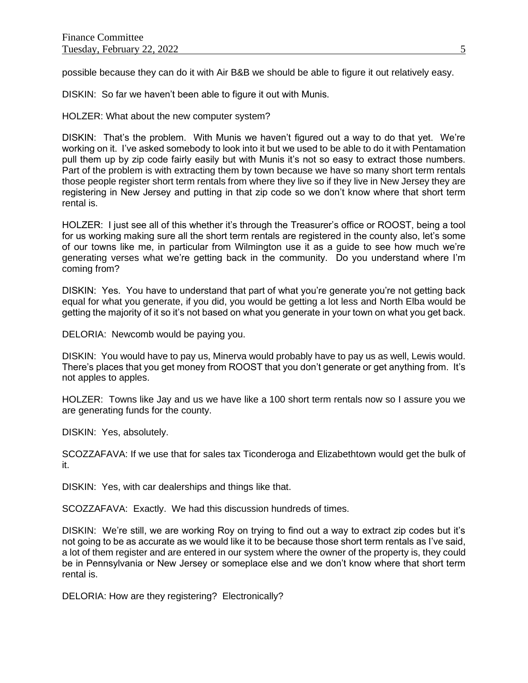possible because they can do it with Air B&B we should be able to figure it out relatively easy.

DISKIN: So far we haven't been able to figure it out with Munis.

HOLZER: What about the new computer system?

DISKIN: That's the problem. With Munis we haven't figured out a way to do that yet. We're working on it. I've asked somebody to look into it but we used to be able to do it with Pentamation pull them up by zip code fairly easily but with Munis it's not so easy to extract those numbers. Part of the problem is with extracting them by town because we have so many short term rentals those people register short term rentals from where they live so if they live in New Jersey they are registering in New Jersey and putting in that zip code so we don't know where that short term rental is.

HOLZER: I just see all of this whether it's through the Treasurer's office or ROOST, being a tool for us working making sure all the short term rentals are registered in the county also, let's some of our towns like me, in particular from Wilmington use it as a guide to see how much we're generating verses what we're getting back in the community. Do you understand where I'm coming from?

DISKIN: Yes. You have to understand that part of what you're generate you're not getting back equal for what you generate, if you did, you would be getting a lot less and North Elba would be getting the majority of it so it's not based on what you generate in your town on what you get back.

DELORIA: Newcomb would be paying you.

DISKIN: You would have to pay us, Minerva would probably have to pay us as well, Lewis would. There's places that you get money from ROOST that you don't generate or get anything from. It's not apples to apples.

HOLZER: Towns like Jay and us we have like a 100 short term rentals now so I assure you we are generating funds for the county.

DISKIN: Yes, absolutely.

SCOZZAFAVA: If we use that for sales tax Ticonderoga and Elizabethtown would get the bulk of it.

DISKIN: Yes, with car dealerships and things like that.

SCOZZAFAVA: Exactly. We had this discussion hundreds of times.

DISKIN: We're still, we are working Roy on trying to find out a way to extract zip codes but it's not going to be as accurate as we would like it to be because those short term rentals as I've said, a lot of them register and are entered in our system where the owner of the property is, they could be in Pennsylvania or New Jersey or someplace else and we don't know where that short term rental is.

DELORIA: How are they registering? Electronically?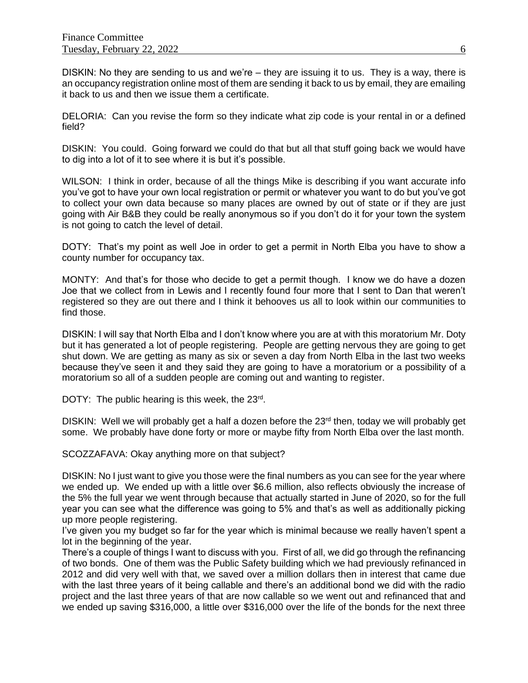DISKIN: No they are sending to us and we're – they are issuing it to us. They is a way, there is an occupancy registration online most of them are sending it back to us by email, they are emailing it back to us and then we issue them a certificate.

DELORIA: Can you revise the form so they indicate what zip code is your rental in or a defined field?

DISKIN: You could. Going forward we could do that but all that stuff going back we would have to dig into a lot of it to see where it is but it's possible.

WILSON: I think in order, because of all the things Mike is describing if you want accurate info you've got to have your own local registration or permit or whatever you want to do but you've got to collect your own data because so many places are owned by out of state or if they are just going with Air B&B they could be really anonymous so if you don't do it for your town the system is not going to catch the level of detail.

DOTY: That's my point as well Joe in order to get a permit in North Elba you have to show a county number for occupancy tax.

MONTY: And that's for those who decide to get a permit though. I know we do have a dozen Joe that we collect from in Lewis and I recently found four more that I sent to Dan that weren't registered so they are out there and I think it behooves us all to look within our communities to find those.

DISKIN: I will say that North Elba and I don't know where you are at with this moratorium Mr. Doty but it has generated a lot of people registering. People are getting nervous they are going to get shut down. We are getting as many as six or seven a day from North Elba in the last two weeks because they've seen it and they said they are going to have a moratorium or a possibility of a moratorium so all of a sudden people are coming out and wanting to register.

DOTY: The public hearing is this week, the 23rd.

DISKIN: Well we will probably get a half a dozen before the 23<sup>rd</sup> then, today we will probably get some. We probably have done forty or more or maybe fifty from North Elba over the last month.

SCOZZAFAVA: Okay anything more on that subject?

DISKIN: No I just want to give you those were the final numbers as you can see for the year where we ended up. We ended up with a little over \$6.6 million, also reflects obviously the increase of the 5% the full year we went through because that actually started in June of 2020, so for the full year you can see what the difference was going to 5% and that's as well as additionally picking up more people registering.

I've given you my budget so far for the year which is minimal because we really haven't spent a lot in the beginning of the year.

There's a couple of things I want to discuss with you. First of all, we did go through the refinancing of two bonds. One of them was the Public Safety building which we had previously refinanced in 2012 and did very well with that, we saved over a million dollars then in interest that came due with the last three years of it being callable and there's an additional bond we did with the radio project and the last three years of that are now callable so we went out and refinanced that and we ended up saving \$316,000, a little over \$316,000 over the life of the bonds for the next three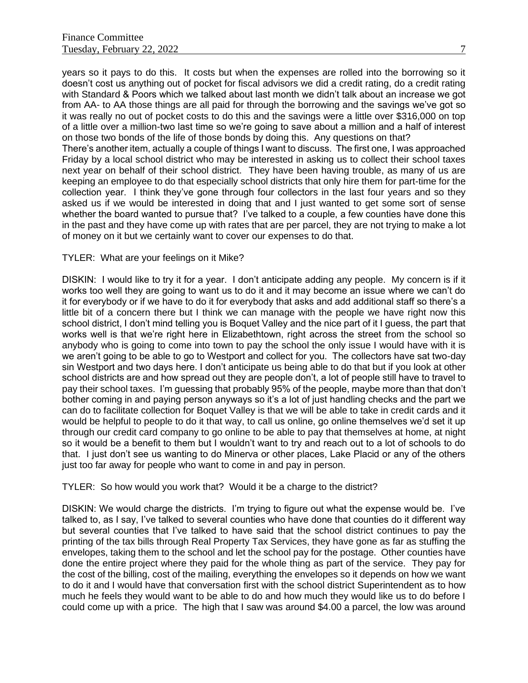years so it pays to do this. It costs but when the expenses are rolled into the borrowing so it doesn't cost us anything out of pocket for fiscal advisors we did a credit rating, do a credit rating with Standard & Poors which we talked about last month we didn't talk about an increase we got from AA- to AA those things are all paid for through the borrowing and the savings we've got so it was really no out of pocket costs to do this and the savings were a little over \$316,000 on top of a little over a million-two last time so we're going to save about a million and a half of interest on those two bonds of the life of those bonds by doing this. Any questions on that?

There's another item, actually a couple of things I want to discuss. The first one, I was approached Friday by a local school district who may be interested in asking us to collect their school taxes next year on behalf of their school district. They have been having trouble, as many of us are keeping an employee to do that especially school districts that only hire them for part-time for the collection year. I think they've gone through four collectors in the last four years and so they asked us if we would be interested in doing that and I just wanted to get some sort of sense whether the board wanted to pursue that? I've talked to a couple, a few counties have done this in the past and they have come up with rates that are per parcel, they are not trying to make a lot of money on it but we certainly want to cover our expenses to do that.

## TYLER: What are your feelings on it Mike?

DISKIN: I would like to try it for a year. I don't anticipate adding any people. My concern is if it works too well they are going to want us to do it and it may become an issue where we can't do it for everybody or if we have to do it for everybody that asks and add additional staff so there's a little bit of a concern there but I think we can manage with the people we have right now this school district, I don't mind telling you is Boquet Valley and the nice part of it I guess, the part that works well is that we're right here in Elizabethtown, right across the street from the school so anybody who is going to come into town to pay the school the only issue I would have with it is we aren't going to be able to go to Westport and collect for you. The collectors have sat two-day sin Westport and two days here. I don't anticipate us being able to do that but if you look at other school districts are and how spread out they are people don't, a lot of people still have to travel to pay their school taxes. I'm guessing that probably 95% of the people, maybe more than that don't bother coming in and paying person anyways so it's a lot of just handling checks and the part we can do to facilitate collection for Boquet Valley is that we will be able to take in credit cards and it would be helpful to people to do it that way, to call us online, go online themselves we'd set it up through our credit card company to go online to be able to pay that themselves at home, at night so it would be a benefit to them but I wouldn't want to try and reach out to a lot of schools to do that. I just don't see us wanting to do Minerva or other places, Lake Placid or any of the others just too far away for people who want to come in and pay in person.

TYLER: So how would you work that? Would it be a charge to the district?

DISKIN: We would charge the districts. I'm trying to figure out what the expense would be. I've talked to, as I say, I've talked to several counties who have done that counties do it different way but several counties that I've talked to have said that the school district continues to pay the printing of the tax bills through Real Property Tax Services, they have gone as far as stuffing the envelopes, taking them to the school and let the school pay for the postage. Other counties have done the entire project where they paid for the whole thing as part of the service. They pay for the cost of the billing, cost of the mailing, everything the envelopes so it depends on how we want to do it and I would have that conversation first with the school district Superintendent as to how much he feels they would want to be able to do and how much they would like us to do before I could come up with a price. The high that I saw was around \$4.00 a parcel, the low was around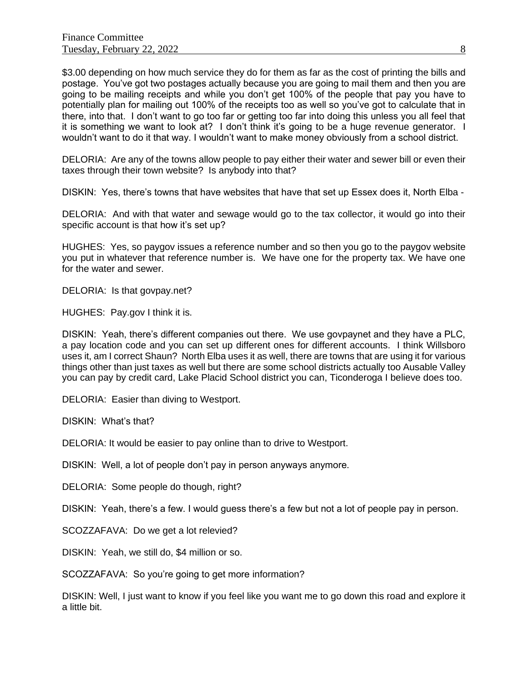\$3.00 depending on how much service they do for them as far as the cost of printing the bills and postage. You've got two postages actually because you are going to mail them and then you are going to be mailing receipts and while you don't get 100% of the people that pay you have to potentially plan for mailing out 100% of the receipts too as well so you've got to calculate that in there, into that. I don't want to go too far or getting too far into doing this unless you all feel that it is something we want to look at? I don't think it's going to be a huge revenue generator. I wouldn't want to do it that way. I wouldn't want to make money obviously from a school district.

DELORIA: Are any of the towns allow people to pay either their water and sewer bill or even their taxes through their town website? Is anybody into that?

DISKIN: Yes, there's towns that have websites that have that set up Essex does it, North Elba -

DELORIA: And with that water and sewage would go to the tax collector, it would go into their specific account is that how it's set up?

HUGHES: Yes, so paygov issues a reference number and so then you go to the paygov website you put in whatever that reference number is. We have one for the property tax. We have one for the water and sewer.

DELORIA: Is that govpay.net?

HUGHES: Pay.gov I think it is.

DISKIN: Yeah, there's different companies out there. We use govpaynet and they have a PLC, a pay location code and you can set up different ones for different accounts. I think Willsboro uses it, am I correct Shaun? North Elba uses it as well, there are towns that are using it for various things other than just taxes as well but there are some school districts actually too Ausable Valley you can pay by credit card, Lake Placid School district you can, Ticonderoga I believe does too.

DELORIA: Easier than diving to Westport.

DISKIN: What's that?

DELORIA: It would be easier to pay online than to drive to Westport.

DISKIN: Well, a lot of people don't pay in person anyways anymore.

DELORIA: Some people do though, right?

DISKIN: Yeah, there's a few. I would guess there's a few but not a lot of people pay in person.

SCOZZAFAVA: Do we get a lot relevied?

DISKIN: Yeah, we still do, \$4 million or so.

SCOZZAFAVA: So you're going to get more information?

DISKIN: Well, I just want to know if you feel like you want me to go down this road and explore it a little bit.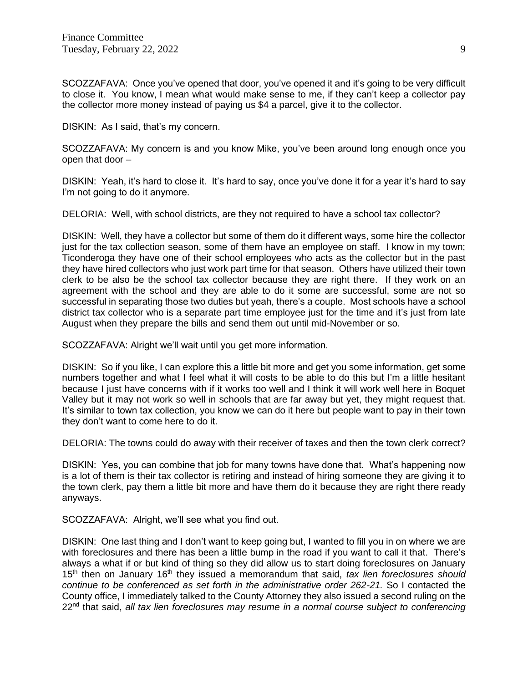SCOZZAFAVA: Once you've opened that door, you've opened it and it's going to be very difficult to close it. You know, I mean what would make sense to me, if they can't keep a collector pay the collector more money instead of paying us \$4 a parcel, give it to the collector.

DISKIN: As I said, that's my concern.

SCOZZAFAVA: My concern is and you know Mike, you've been around long enough once you open that door –

DISKIN: Yeah, it's hard to close it. It's hard to say, once you've done it for a year it's hard to say I'm not going to do it anymore.

DELORIA: Well, with school districts, are they not required to have a school tax collector?

DISKIN: Well, they have a collector but some of them do it different ways, some hire the collector just for the tax collection season, some of them have an employee on staff. I know in my town; Ticonderoga they have one of their school employees who acts as the collector but in the past they have hired collectors who just work part time for that season. Others have utilized their town clerk to be also be the school tax collector because they are right there. If they work on an agreement with the school and they are able to do it some are successful, some are not so successful in separating those two duties but yeah, there's a couple. Most schools have a school district tax collector who is a separate part time employee just for the time and it's just from late August when they prepare the bills and send them out until mid-November or so.

SCOZZAFAVA: Alright we'll wait until you get more information.

DISKIN: So if you like, I can explore this a little bit more and get you some information, get some numbers together and what I feel what it will costs to be able to do this but I'm a little hesitant because I just have concerns with if it works too well and I think it will work well here in Boquet Valley but it may not work so well in schools that are far away but yet, they might request that. It's similar to town tax collection, you know we can do it here but people want to pay in their town they don't want to come here to do it.

DELORIA: The towns could do away with their receiver of taxes and then the town clerk correct?

DISKIN: Yes, you can combine that job for many towns have done that. What's happening now is a lot of them is their tax collector is retiring and instead of hiring someone they are giving it to the town clerk, pay them a little bit more and have them do it because they are right there ready anyways.

SCOZZAFAVA: Alright, we'll see what you find out.

DISKIN: One last thing and I don't want to keep going but, I wanted to fill you in on where we are with foreclosures and there has been a little bump in the road if you want to call it that. There's always a what if or but kind of thing so they did allow us to start doing foreclosures on January 15th then on January 16th they issued a memorandum that said, *tax lien foreclosures should continue to be conferenced as set forth in the administrative order 262-21.* So I contacted the County office, I immediately talked to the County Attorney they also issued a second ruling on the 22nd that said, *all tax lien foreclosures may resume in a normal course subject to conferencing*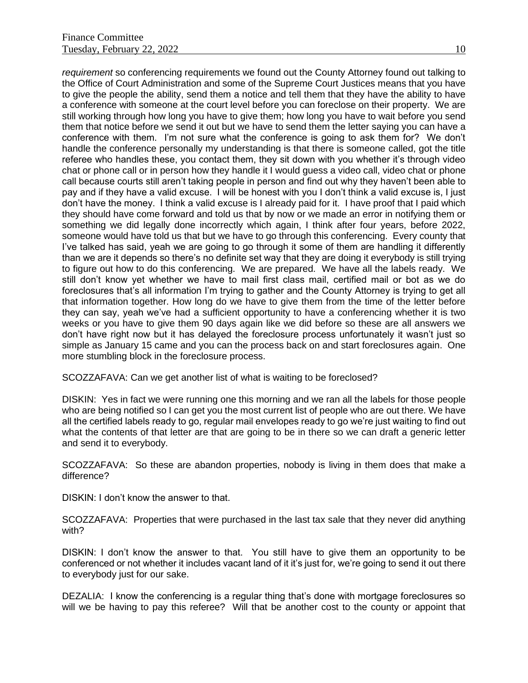*requirement* so conferencing requirements we found out the County Attorney found out talking to the Office of Court Administration and some of the Supreme Court Justices means that you have to give the people the ability, send them a notice and tell them that they have the ability to have a conference with someone at the court level before you can foreclose on their property. We are still working through how long you have to give them; how long you have to wait before you send them that notice before we send it out but we have to send them the letter saying you can have a conference with them. I'm not sure what the conference is going to ask them for? We don't handle the conference personally my understanding is that there is someone called, got the title referee who handles these, you contact them, they sit down with you whether it's through video chat or phone call or in person how they handle it I would guess a video call, video chat or phone call because courts still aren't taking people in person and find out why they haven't been able to pay and if they have a valid excuse. I will be honest with you I don't think a valid excuse is, I just don't have the money. I think a valid excuse is I already paid for it. I have proof that I paid which they should have come forward and told us that by now or we made an error in notifying them or something we did legally done incorrectly which again, I think after four years, before 2022, someone would have told us that but we have to go through this conferencing. Every county that I've talked has said, yeah we are going to go through it some of them are handling it differently than we are it depends so there's no definite set way that they are doing it everybody is still trying to figure out how to do this conferencing. We are prepared. We have all the labels ready. We still don't know yet whether we have to mail first class mail, certified mail or bot as we do foreclosures that's all information I'm trying to gather and the County Attorney is trying to get all that information together. How long do we have to give them from the time of the letter before they can say, yeah we've had a sufficient opportunity to have a conferencing whether it is two weeks or you have to give them 90 days again like we did before so these are all answers we don't have right now but it has delayed the foreclosure process unfortunately it wasn't just so simple as January 15 came and you can the process back on and start foreclosures again. One more stumbling block in the foreclosure process.

SCOZZAFAVA: Can we get another list of what is waiting to be foreclosed?

DISKIN: Yes in fact we were running one this morning and we ran all the labels for those people who are being notified so I can get you the most current list of people who are out there. We have all the certified labels ready to go, regular mail envelopes ready to go we're just waiting to find out what the contents of that letter are that are going to be in there so we can draft a generic letter and send it to everybody.

SCOZZAFAVA: So these are abandon properties, nobody is living in them does that make a difference?

DISKIN: I don't know the answer to that.

SCOZZAFAVA: Properties that were purchased in the last tax sale that they never did anything with?

DISKIN: I don't know the answer to that. You still have to give them an opportunity to be conferenced or not whether it includes vacant land of it it's just for, we're going to send it out there to everybody just for our sake.

DEZALIA: I know the conferencing is a regular thing that's done with mortgage foreclosures so will we be having to pay this referee? Will that be another cost to the county or appoint that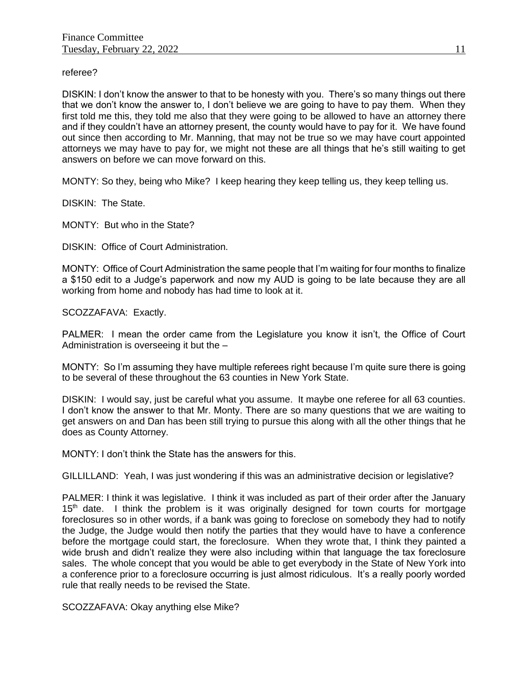referee?

DISKIN: I don't know the answer to that to be honesty with you. There's so many things out there that we don't know the answer to, I don't believe we are going to have to pay them. When they first told me this, they told me also that they were going to be allowed to have an attorney there and if they couldn't have an attorney present, the county would have to pay for it. We have found out since then according to Mr. Manning, that may not be true so we may have court appointed attorneys we may have to pay for, we might not these are all things that he's still waiting to get answers on before we can move forward on this.

MONTY: So they, being who Mike? I keep hearing they keep telling us, they keep telling us.

DISKIN: The State.

MONTY: But who in the State?

DISKIN: Office of Court Administration.

MONTY: Office of Court Administration the same people that I'm waiting for four months to finalize a \$150 edit to a Judge's paperwork and now my AUD is going to be late because they are all working from home and nobody has had time to look at it.

SCOZZAFAVA: Exactly.

PALMER: I mean the order came from the Legislature you know it isn't, the Office of Court Administration is overseeing it but the –

MONTY: So I'm assuming they have multiple referees right because I'm quite sure there is going to be several of these throughout the 63 counties in New York State.

DISKIN: I would say, just be careful what you assume. It maybe one referee for all 63 counties. I don't know the answer to that Mr. Monty. There are so many questions that we are waiting to get answers on and Dan has been still trying to pursue this along with all the other things that he does as County Attorney.

MONTY: I don't think the State has the answers for this.

GILLILLAND: Yeah, I was just wondering if this was an administrative decision or legislative?

PALMER: I think it was legislative. I think it was included as part of their order after the January  $15<sup>th</sup>$  date. I think the problem is it was originally designed for town courts for mortgage foreclosures so in other words, if a bank was going to foreclose on somebody they had to notify the Judge, the Judge would then notify the parties that they would have to have a conference before the mortgage could start, the foreclosure. When they wrote that, I think they painted a wide brush and didn't realize they were also including within that language the tax foreclosure sales. The whole concept that you would be able to get everybody in the State of New York into a conference prior to a foreclosure occurring is just almost ridiculous. It's a really poorly worded rule that really needs to be revised the State.

SCOZZAFAVA: Okay anything else Mike?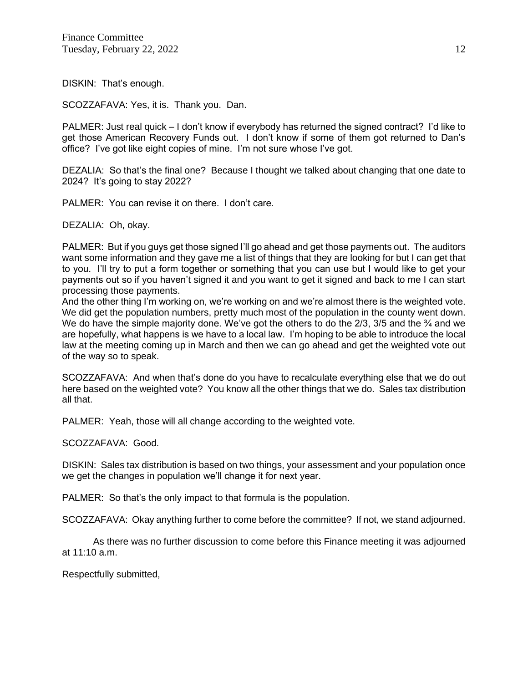DISKIN: That's enough.

SCOZZAFAVA: Yes, it is. Thank you. Dan.

PALMER: Just real quick – I don't know if everybody has returned the signed contract? I'd like to get those American Recovery Funds out. I don't know if some of them got returned to Dan's office? I've got like eight copies of mine. I'm not sure whose I've got.

DEZALIA: So that's the final one? Because I thought we talked about changing that one date to 2024? It's going to stay 2022?

PALMER: You can revise it on there. I don't care.

DEZALIA: Oh, okay.

PALMER: But if you guys get those signed I'll go ahead and get those payments out. The auditors want some information and they gave me a list of things that they are looking for but I can get that to you. I'll try to put a form together or something that you can use but I would like to get your payments out so if you haven't signed it and you want to get it signed and back to me I can start processing those payments.

And the other thing I'm working on, we're working on and we're almost there is the weighted vote. We did get the population numbers, pretty much most of the population in the county went down. We do have the simple majority done. We've got the others to do the 2/3, 3/5 and the <sup>3</sup>/<sub>4</sub> and we are hopefully, what happens is we have to a local law. I'm hoping to be able to introduce the local law at the meeting coming up in March and then we can go ahead and get the weighted vote out of the way so to speak.

SCOZZAFAVA: And when that's done do you have to recalculate everything else that we do out here based on the weighted vote? You know all the other things that we do. Sales tax distribution all that.

PALMER: Yeah, those will all change according to the weighted vote.

SCOZZAFAVA: Good.

DISKIN: Sales tax distribution is based on two things, your assessment and your population once we get the changes in population we'll change it for next year.

PALMER: So that's the only impact to that formula is the population.

SCOZZAFAVA: Okay anything further to come before the committee? If not, we stand adjourned.

As there was no further discussion to come before this Finance meeting it was adjourned at 11:10 a.m.

Respectfully submitted,